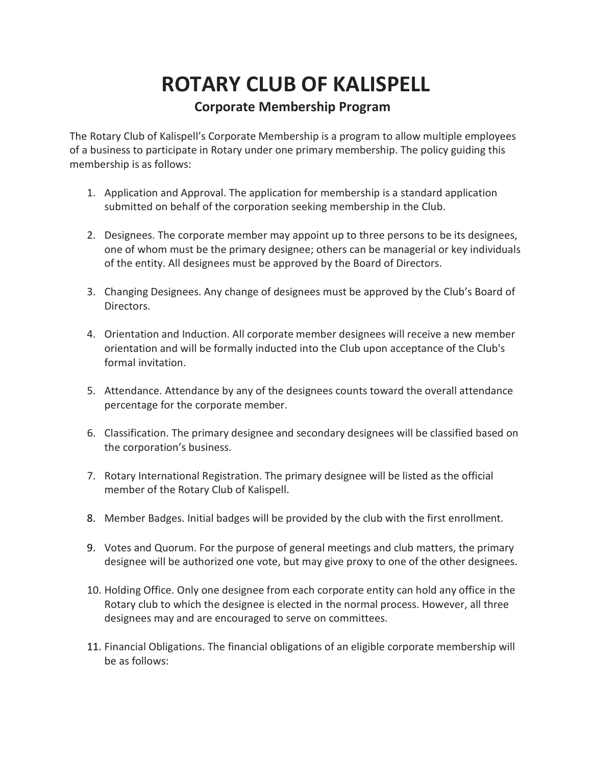## **ROTARY CLUB OF KALISPELL Corporate Membership Program**

The Rotary Club of Kalispell's Corporate Membership is a program to allow multiple employees of a business to participate in Rotary under one primary membership. The policy guiding this membership is as follows:

- 1. Application and Approval. The application for membership is a standard application submitted on behalf of the corporation seeking membership in the Club.
- 2. Designees. The corporate member may appoint up to three persons to be its designees, one of whom must be the primary designee; others can be managerial or key individuals of the entity. All designees must be approved by the Board of Directors.
- 3. Changing Designees. Any change of designees must be approved by the Club's Board of Directors.
- 4. Orientation and Induction. All corporate member designees will receive a new member orientation and will be formally inducted into the Club upon acceptance of the Club's formal invitation.
- 5. Attendance. Attendance by any of the designees counts toward the overall attendance percentage for the corporate member.
- 6. Classification. The primary designee and secondary designees will be classified based on the corporation's business.
- 7. Rotary International Registration. The primary designee will be listed as the official member of the Rotary Club of Kalispell.
- 8. Member Badges. Initial badges will be provided by the club with the first enrollment.
- 9. Votes and Quorum. For the purpose of general meetings and club matters, the primary designee will be authorized one vote, but may give proxy to one of the other designees.
- 10. Holding Office. Only one designee from each corporate entity can hold any office in the Rotary club to which the designee is elected in the normal process. However, all three designees may and are encouraged to serve on committees.
- 11. Financial Obligations. The financial obligations of an eligible corporate membership will be as follows: